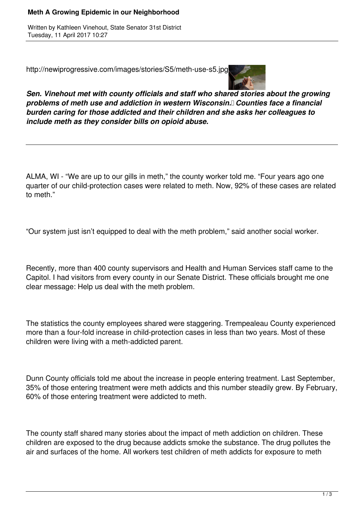## **Meth A Growing Epidemic in our Neighborhood**

Written by Kathleen Vinehout, State Senator 31st District Tuesday, 11 April 2017 10:27

http://newiprogressive.com/images/stories/S5/meth-use-s5.jpg



*Sen. Vinehout met with county officials and staff who shared stories about the growing problems of meth use and addiction in western Wisconsin. Counties face a financial burden caring for those addicted and their children and she asks her colleagues to include meth as they consider bills on opioid abuse.*

ALMA, WI - "We are up to our gills in meth," the county worker told me. "Four years ago one quarter of our child-protection cases were related to meth. Now, 92% of these cases are related to meth."

"Our system just isn't equipped to deal with the meth problem," said another social worker.

Recently, more than 400 county supervisors and Health and Human Services staff came to the Capitol. I had visitors from every county in our Senate District. These officials brought me one clear message: Help us deal with the meth problem.

The statistics the county employees shared were staggering. Trempealeau County experienced more than a four-fold increase in child-protection cases in less than two years. Most of these children were living with a meth-addicted parent.

Dunn County officials told me about the increase in people entering treatment. Last September, 35% of those entering treatment were meth addicts and this number steadily grew. By February, 60% of those entering treatment were addicted to meth.

The county staff shared many stories about the impact of meth addiction on children. These children are exposed to the drug because addicts smoke the substance. The drug pollutes the air and surfaces of the home. All workers test children of meth addicts for exposure to meth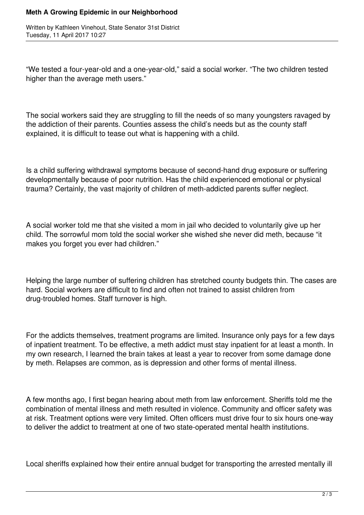## **Meth A Growing Epidemic in our Neighborhood**

Written by Kathleen Vinehout, State Senator 31st District Tuesday, 11 April 2017 10:27

"We tested a four-year-old and a one-year-old," said a social worker. "The two children tested higher than the average meth users."

The social workers said they are struggling to fill the needs of so many youngsters ravaged by the addiction of their parents. Counties assess the child's needs but as the county staff explained, it is difficult to tease out what is happening with a child.

Is a child suffering withdrawal symptoms because of second-hand drug exposure or suffering developmentally because of poor nutrition. Has the child experienced emotional or physical trauma? Certainly, the vast majority of children of meth-addicted parents suffer neglect.

A social worker told me that she visited a mom in jail who decided to voluntarily give up her child. The sorrowful mom told the social worker she wished she never did meth, because "it makes you forget you ever had children."

Helping the large number of suffering children has stretched county budgets thin. The cases are hard. Social workers are difficult to find and often not trained to assist children from drug-troubled homes. Staff turnover is high.

For the addicts themselves, treatment programs are limited. Insurance only pays for a few days of inpatient treatment. To be effective, a meth addict must stay inpatient for at least a month. In my own research, I learned the brain takes at least a year to recover from some damage done by meth. Relapses are common, as is depression and other forms of mental illness.

A few months ago, I first began hearing about meth from law enforcement. Sheriffs told me the combination of mental illness and meth resulted in violence. Community and officer safety was at risk. Treatment options were very limited. Often officers must drive four to six hours one-way to deliver the addict to treatment at one of two state-operated mental health institutions.

Local sheriffs explained how their entire annual budget for transporting the arrested mentally ill